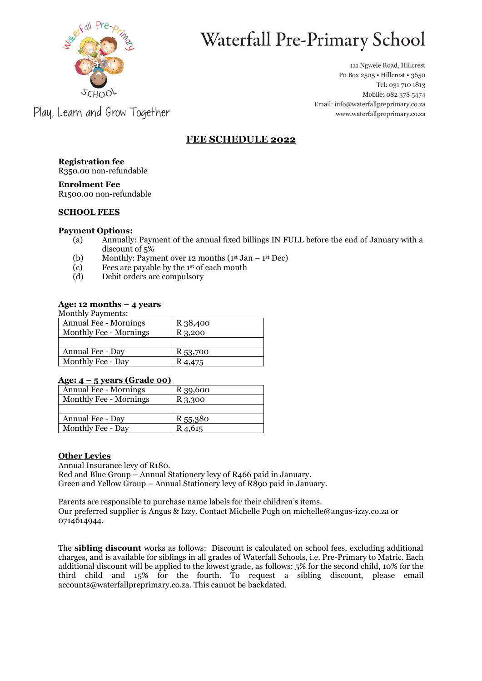

# Waterfall Pre-Primary School

111 Ngwele Road, Hillcrest Po Box 2505 · Hillcrest · 3650 Tel: 031 710 1813 Mobile: 082 378 5474 Email: info@waterfallpreprimary.co.za www.waterfallpreprimary.co.za

# Play, Learn and Grow Together

# **FEE SCHEDULE 2022**

**Registration fee** R350.00 non-refundable

**Enrolment Fee** R1500.00 non-refundable

# **SCHOOL FEES**

### **Payment Options:**

- (a) Annually: Payment of the annual fixed billings IN FULL before the end of January with a discount of 5%
- (b) Monthly: Payment over 12 months  $(1<sup>st</sup> Jan 1<sup>st</sup> Dec)$
- (c) Fees are payable by the 1st of each month
- (d) Debit orders are compulsory

# **Age: 12 months – 4 years**

#### Monthly Payments:

| R 38,400 |
|----------|
| R 3,200  |
|          |
| R 53,700 |
| K 4,475  |
|          |

#### **Age: 4 – 5 years (Grade 00)**

| <b>Annual Fee - Mornings</b> | R 39,600            |
|------------------------------|---------------------|
| Monthly Fee - Mornings       | R 3,300             |
|                              |                     |
| Annual Fee - Day             | R 55,380            |
| Monthly Fee - Day            | R <sub>4</sub> ,615 |

# **Other Levies**

Annual Insurance levy of R180. Red and Blue Group – Annual Stationery levy of R466 paid in January. Green and Yellow Group – Annual Stationery levy of R890 paid in January.

Parents are responsible to purchase name labels for their children's items. Our preferred supplier is Angus & Izzy. Contact Michelle Pugh on [michelle@angus-izzy.co.za](mailto:michelle@angus-izzy.co.za) or 0714614944.

The **sibling discount** works as follows: Discount is calculated on school fees, excluding additional charges, and is available for siblings in all grades of Waterfall Schools, i.e. Pre-Primary to Matric. Each additional discount will be applied to the lowest grade, as follows: 5% for the second child, 10% for the third child and 15% for the fourth. To request a sibling discount, please email accounts@waterfallpreprimary.co.za. This cannot be backdated.